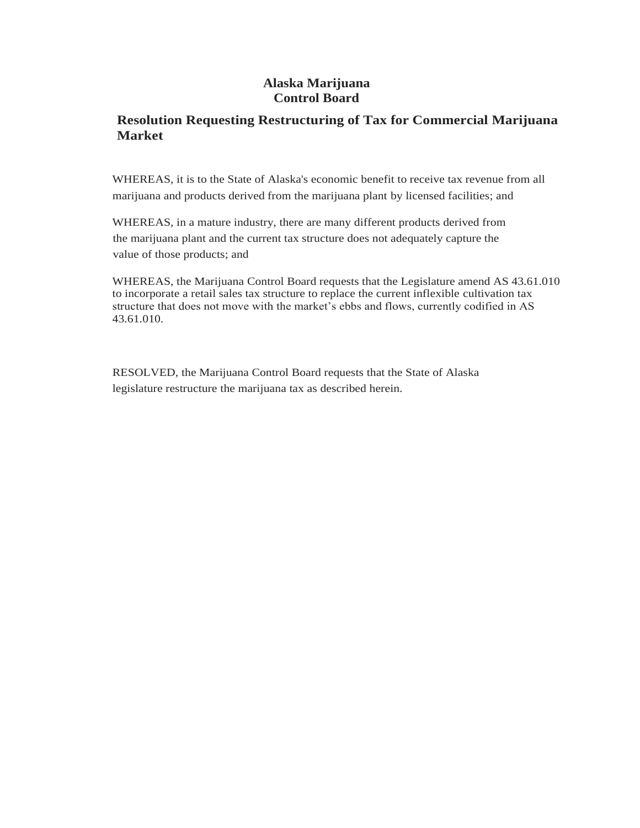### **Alaska Marijuana Control Board**

## **Resolution Requesting Restructuring of Tax for Commercial Marijuana Market**

WHEREAS, it is to the State of Alaska's economic benefit to receive tax revenue from all marijuana and products derived from the marijuana plant by licensed facilities; and

WHEREAS, in a mature industry, there are many different products derived from the marijuana plant and the current tax structure does not adequately capture the value of those products; and

WHEREAS, the Marijuana Control Board requests that the Legislature amend AS 43.61.010 to incorporate a retail sales tax structure to replace the current inflexible cultivation tax structure that does not move with the market's ebbs and flows, currently codified in AS 43.61.010.

RESOLVED, the Marijuana Control Board requests that the State of Alaska legislature restructure the marijuana tax as described herein.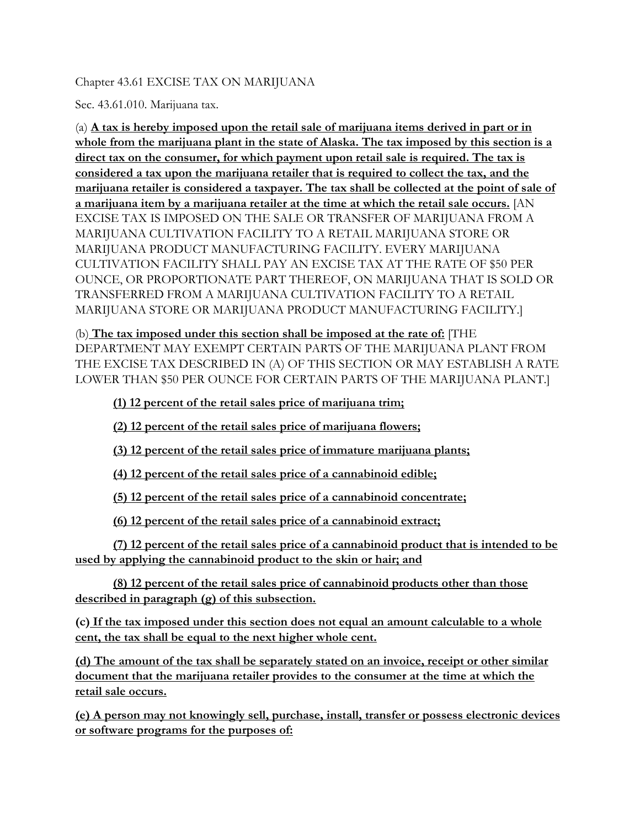#### Chapter 43.61 EXCISE TAX ON MARIJUANA

Sec. 43.61.010. Marijuana tax.

(a) **A tax is hereby imposed upon the retail sale of marijuana items derived in part or in whole from the marijuana plant in the state of Alaska. The tax imposed by this section is a direct tax on the consumer, for which payment upon retail sale is required. The tax is considered a tax upon the marijuana retailer that is required to collect the tax, and the marijuana retailer is considered a taxpayer. The tax shall be collected at the point of sale of a marijuana item by a marijuana retailer at the time at which the retail sale occurs.** [AN EXCISE TAX IS IMPOSED ON THE SALE OR TRANSFER OF MARIJUANA FROM A MARIJUANA CULTIVATION FACILITY TO A RETAIL MARIJUANA STORE OR MARIJUANA PRODUCT MANUFACTURING FACILITY. EVERY MARIJUANA CULTIVATION FACILITY SHALL PAY AN EXCISE TAX AT THE RATE OF \$50 PER OUNCE, OR PROPORTIONATE PART THEREOF, ON MARIJUANA THAT IS SOLD OR TRANSFERRED FROM A MARIJUANA CULTIVATION FACILITY TO A RETAIL MARIJUANA STORE OR MARIJUANA PRODUCT MANUFACTURING FACILITY.]

(b) **The tax imposed under this section shall be imposed at the rate of:** [THE DEPARTMENT MAY EXEMPT CERTAIN PARTS OF THE MARIJUANA PLANT FROM THE EXCISE TAX DESCRIBED IN (A) OF THIS SECTION OR MAY ESTABLISH A RATE LOWER THAN \$50 PER OUNCE FOR CERTAIN PARTS OF THE MARIJUANA PLANT.]

**(1) 12 percent of the retail sales price of marijuana trim;**

**(2) 12 percent of the retail sales price of marijuana flowers;**

**(3) 12 percent of the retail sales price of immature marijuana plants;**

**(4) 12 percent of the retail sales price of a cannabinoid edible;**

**(5) 12 percent of the retail sales price of a cannabinoid concentrate;**

**(6) 12 percent of the retail sales price of a cannabinoid extract;**

**(7) 12 percent of the retail sales price of a cannabinoid product that is intended to be used by applying the cannabinoid product to the skin or hair; and**

**(8) 12 percent of the retail sales price of cannabinoid products other than those described in paragraph (g) of this subsection.**

**(c) If the tax imposed under this section does not equal an amount calculable to a whole cent, the tax shall be equal to the next higher whole cent.**

**(d) The amount of the tax shall be separately stated on an invoice, receipt or other similar document that the marijuana retailer provides to the consumer at the time at which the retail sale occurs.**

**(e) A person may not knowingly sell, purchase, install, transfer or possess electronic devices or software programs for the purposes of:**